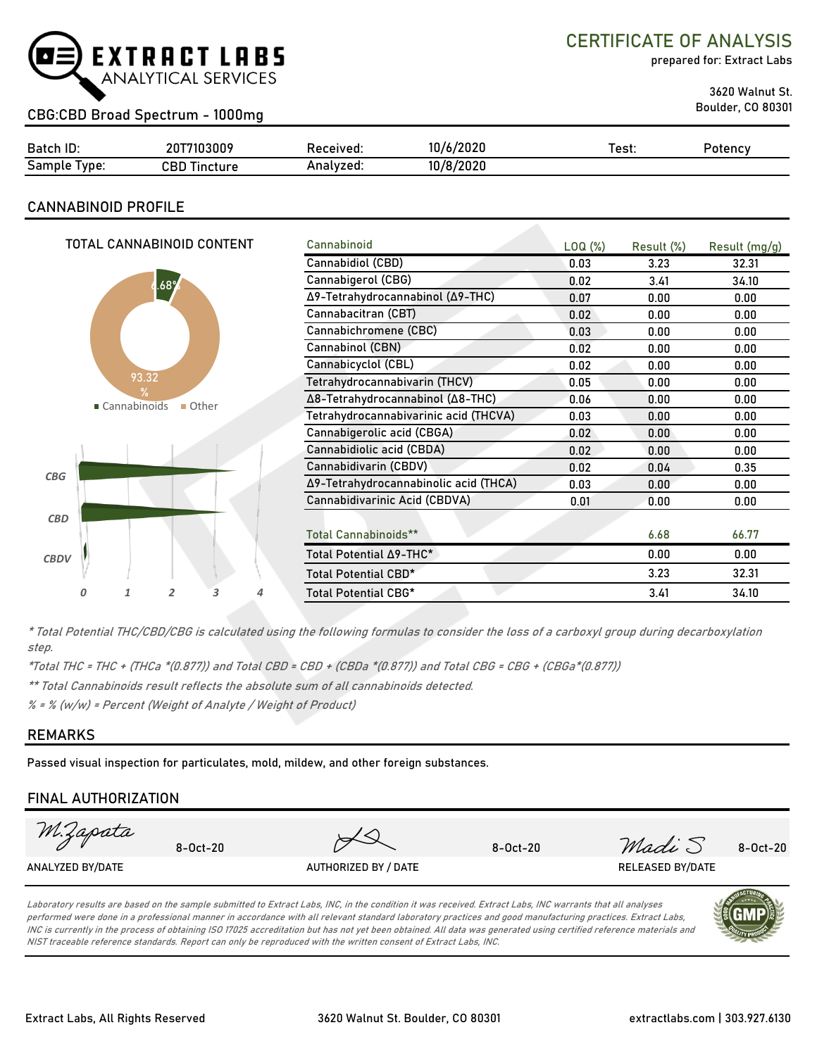

## CERTIFICATE OF ANALYSIS

prepared for: Extract Labs

3620 Walnut St.

## Boulder, CO 80301 CBG:CBD Broad Spectrum - 1000mg

| Batch ID:       | 20T7103009      | Received: | 10/6/2020 | ™est: | Potency |
|-----------------|-----------------|-----------|-----------|-------|---------|
| Sample<br>lvpe: | CBD<br>Tincture | Analyzed. | 10/8/2020 |       |         |

### **CANNABINOID PROFILE**

| TOTAL CANNABINOID CONTENT | Cannabinoid                           | LOQ( <sub>%</sub> ) | Result (%) | Result (mg/g) |
|---------------------------|---------------------------------------|---------------------|------------|---------------|
|                           | Cannabidiol (CBD)                     | 0.03                | 3.23       | 32.31         |
| .68 <sup>o</sup>          | Cannabigerol (CBG)                    | 0.02                | 3.41       | 34.10         |
|                           | Δ9-Tetrahydrocannabinol (Δ9-THC)      | 0.07                | 0.00       | 0.00          |
|                           | Cannabacitran (CBT)                   | 0.02                | 0.00       | 0.00          |
|                           | Cannabichromene (CBC)                 | 0.03                | 0.00       | 0.00          |
|                           | Cannabinol (CBN)                      | 0.02                | 0.00       | 0.00          |
|                           | Cannabicyclol (CBL)                   | 0.02                | 0.00       | 0.00          |
| 93.32<br>$\frac{9}{6}$    | Tetrahydrocannabivarin (THCV)         | 0.05                | 0.00       | 0.00          |
| ■ Cannabinoids<br>■ Other | Δ8-Tetrahydrocannabinol (Δ8-THC)      | 0.06                | 0.00       | 0.00          |
|                           | Tetrahydrocannabivarinic acid (THCVA) | 0.03                | 0.00       | 0.00          |
|                           | Cannabigerolic acid (CBGA)            | 0.02                | 0.00       | 0.00          |
|                           | Cannabidiolic acid (CBDA)             | 0.02                | 0.00       | 0.00          |
| CBG                       | Cannabidivarin (CBDV)                 | 0.02                | 0.04       | 0.35          |
|                           | Δ9-Tetrahydrocannabinolic acid (THCA) | 0.03                | 0.00       | 0.00          |
|                           | Cannabidivarinic Acid (CBDVA)         | 0.01                | 0.00       | 0.00          |
| CBD                       |                                       |                     |            |               |
|                           | Total Cannabinoids**                  |                     | 6.68       | 66.77         |
| <b>CBDV</b>               | Total Potential ∆9-THC*               |                     | 0.00       | 0.00          |
|                           | Total Potential CBD*                  |                     | 3.23       | 32.31         |
| 2<br>3<br>1<br>4          | Total Potential CBG*                  |                     | 3.41       | 34.10         |
|                           |                                       |                     |            |               |

\* Total Potential THC/CBD/CBG is calculated using the following formulas to consider the loss of a carboxyl group during decarboxylation step.

\*Total THC = THC + (THCa \*(0.877)) and Total CBD = CBD + (CBDa \*(0.877)) and Total CBG = CBG + (CBGa\*(0.877))

\*\* Total Cannabinoids result reflects the absolute sum of all cannabinoids detected.

% = % (w/w) = Percent (Weight of Analyte / Weight of Product)

#### **REMARKS**

Passed visual inspection for particulates, mold, mildew, and other foreign substances.

### **FINAL AUTHORIZATION**



Laboratory results are based on the sample submitted to Extract Labs, INC, in the condition it was received. Extract Labs, INC warrants that all analyses performed were done in a professional manner in accordance with all relevant standard laboratory practices and good manufacturing practices. Extract Labs, INC is currently in the process of obtaining ISO 17025 accreditation but has not yet been obtained. All data was generated using certified reference materials and NIST traceable reference standards. Report can only be reproduced with the written consent of Extract Labs, INC.

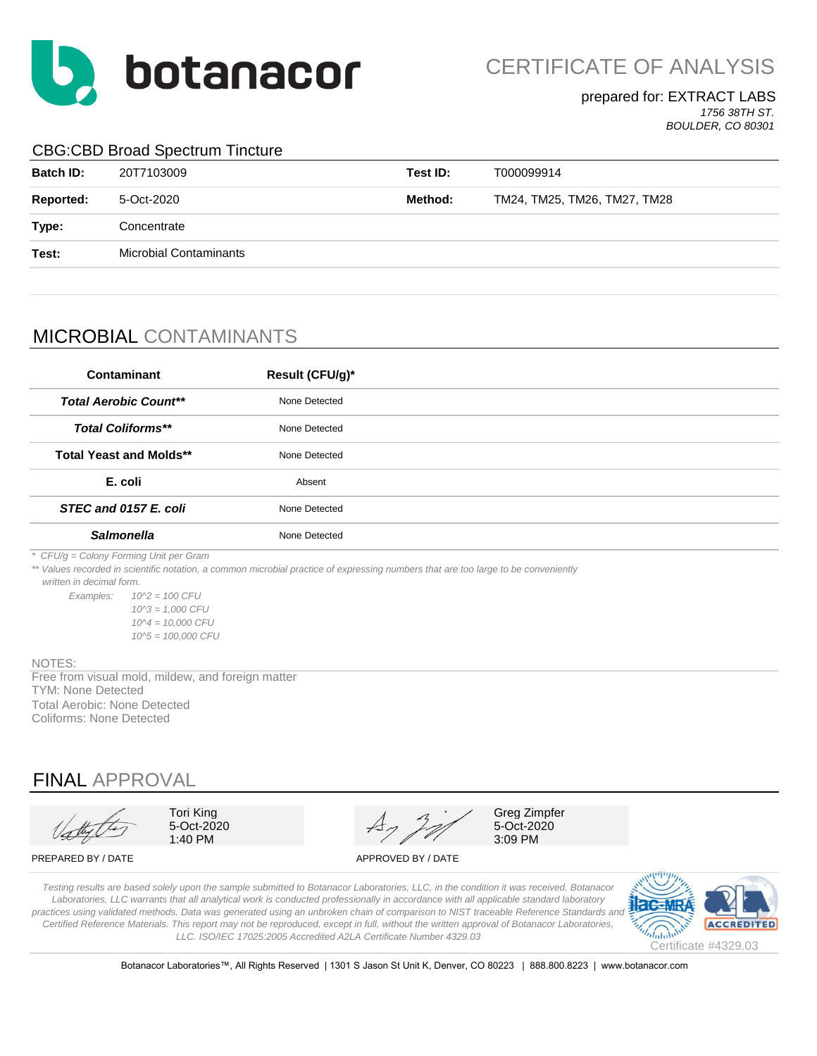

CERTIFICATE OF ANALYSIS

#### prepared for: EXTRACT LABS *1756 38TH ST.*

*BOULDER, CO 80301*

## CBG:CBD Broad Spectrum Tincture

| <b>Batch ID:</b> | 20T7103009                    | Test ID: | T000099914                   |
|------------------|-------------------------------|----------|------------------------------|
| Reported:        | 5-Oct-2020                    | Method:  | TM24, TM25, TM26, TM27, TM28 |
| Type:            | Concentrate                   |          |                              |
| Test:            | <b>Microbial Contaminants</b> |          |                              |
|                  |                               |          |                              |

# MICROBIAL CONTAMINANTS

| <b>Contaminant</b>                     | Result (CFU/g)* |  |
|----------------------------------------|-----------------|--|
| <b>Total Aerobic Count**</b>           | None Detected   |  |
| <b>Total Coliforms**</b>               | None Detected   |  |
| <b>Total Yeast and Molds**</b>         | None Detected   |  |
| E. coli                                | Absent          |  |
| STEC and 0157 E. coli                  | None Detected   |  |
| <b>Salmonella</b>                      | None Detected   |  |
| * CFU/g = Colony Forming Unit per Gram |                 |  |

*\*\* Values recorded in scientific notation, a common microbial practice of expressing numbers that are too large to be conveniently* 

 *written in decimal form.*

*Examples: 10^2 = 100 CFU 10^3 = 1,000 CFU 10^4 = 10,000 CFU 10^5 = 100,000 CFU*

#### NOTES:

TYM: None Detected Free from visual mold, mildew, and foreign matter Total Aerobic: None Detected Coliforms: None Detected

## FINAL APPROVAL

Tori King 5-Oct-2020 1:40 PM

Greg Zimpfer 5-Oct-2020 3:09 PM

PREPARED BY / DATE APPROVED BY / DATE

*Testing results are based solely upon the sample submitted to Botanacor Laboratories, LLC, in the condition it was received. Botanacor Laboratories, LLC warrants that all analytical work is conducted professionally in accordance with all applicable standard laboratory*  practices using validated methods. Data was generated using an unbroken chain of comparison to NIST traceable Reference Standards and *Certified Reference Materials. This report may not be reproduced, except in full, without the written approval of Botanacor Laboratories, LLC. ISO/IEC 17025:2005 Accredited A2LA Certificate Number 4329.03*



Botanacor Laboratories™, All Rights Reserved | 1301 S Jason St Unit K, Denver, CO 80223 | 888.800.8223 | www.botanacor.com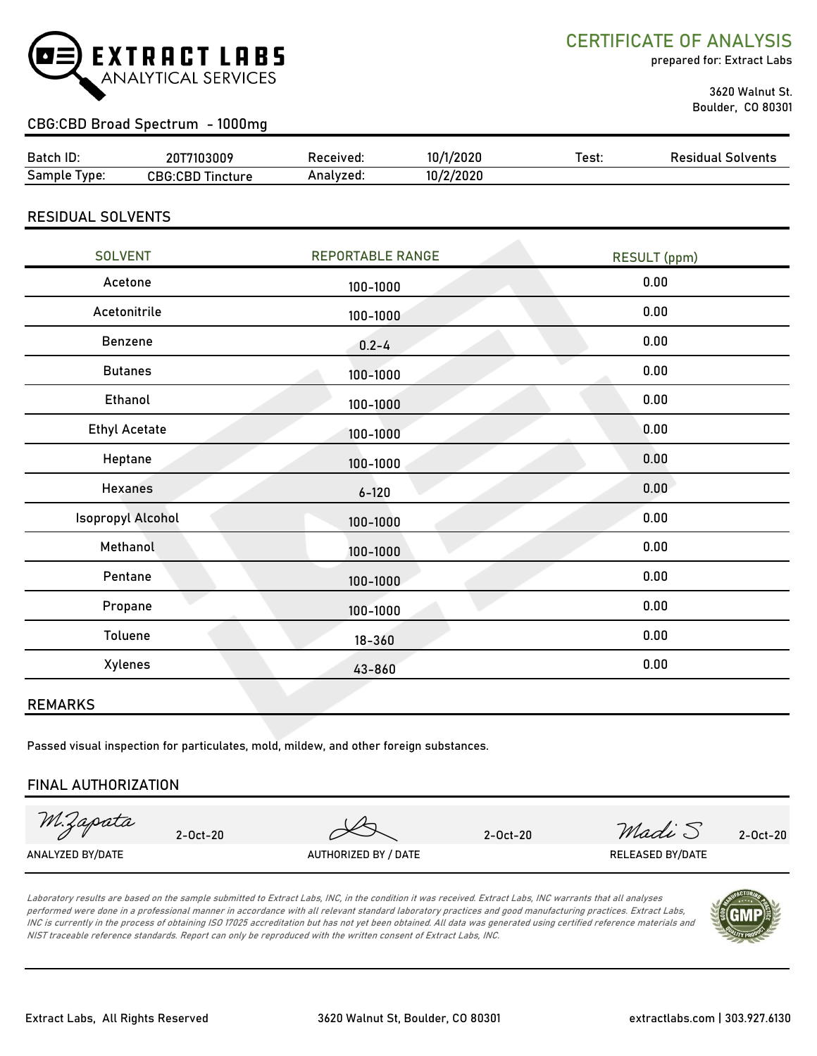

CERTIFICATE OF ANALYSIS

prepared for: Extract Labs

 3620 Walnut St. Boulder, CO 80301

## CBG:CBD Broad Spectrum - 1000mg

| Batch ID:       | 7103009<br>201                 | Received: | /2020             | Test. | Residual<br>Solvents |
|-----------------|--------------------------------|-----------|-------------------|-------|----------------------|
| Sample<br>'vpe: | <b>CBG:CBD Tir</b><br>Tincture | Analvzed. | 1010<br>10/2/2020 |       |                      |

#### RESIDUAL SOLVENTS

| <b>SOLVENT</b>           | <b>REPORTABLE RANGE</b> | <b>RESULT</b> (ppm) |
|--------------------------|-------------------------|---------------------|
| Acetone                  | 100-1000                | 0.00                |
| Acetonitrile             | 100-1000                | 0.00                |
| Benzene                  | $0.2 - 4$               | 0.00                |
| <b>Butanes</b>           | 100-1000                | 0.00                |
| Ethanol                  | 100-1000                | 0.00                |
| <b>Ethyl Acetate</b>     | 100-1000                | 0.00                |
| Heptane                  | 100-1000                | 0.00                |
| <b>Hexanes</b>           | $6 - 120$               | 0.00                |
| <b>Isopropyl Alcohol</b> | 100-1000                | 0.00                |
| Methanol                 | 100-1000                | 0.00                |
| Pentane                  | 100-1000                | 0.00                |
| Propane                  | 100-1000                | 0.00                |
| Toluene                  | $18 - 360$              | 0.00                |
| Xylenes                  | 43-860                  | 0.00                |

#### REMARKS

Passed visual inspection for particulates, mold, mildew, and other foreign substances.

#### FINAL AUTHORIZATION

M.Zapata

2-Oct-20 2-Oct-20 2-Oct-20  $\mathcal{M}$  2-Oct-20  $\mathcal{M}$   $\mathcal{M}$ 

ANALYZED BY/DATE AUTHORIZED BY / DATE AUTHORIZED BY / DATE RELEASED BY/DATE

Laboratory results are based on the sample submitted to Extract Labs, INC, in the condition it was received. Extract Labs, INC warrants that all analyses performed were done in a professional manner in accordance with all relevant standard laboratory practices and good manufacturing practices. Extract Labs, INC is currently in the process of obtaining ISO 17025 accreditation but has not yet been obtained. All data was generated using certified reference materials and NIST traceable reference standards. Report can only be reproduced with the written consent of Extract Labs, INC.